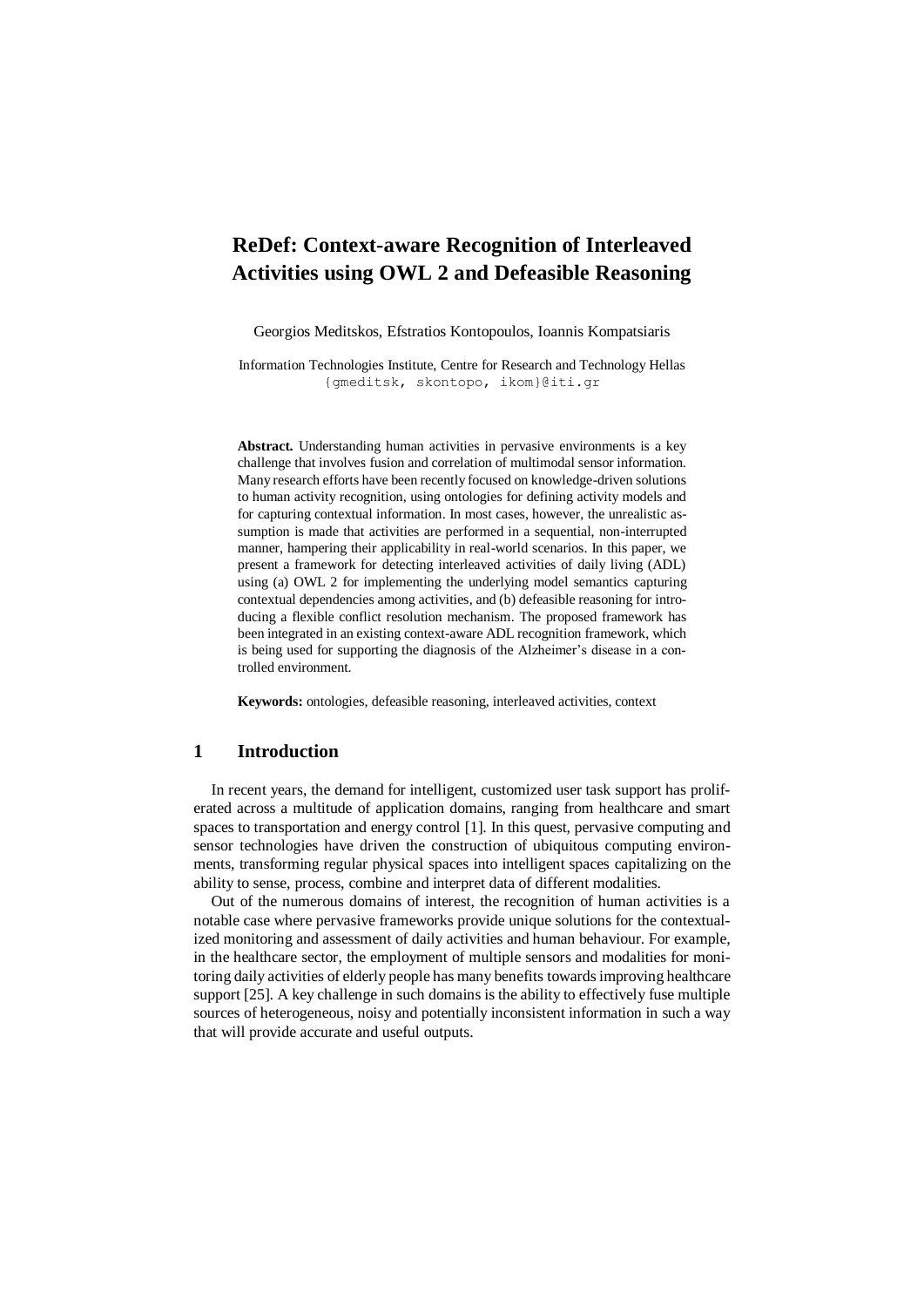# **ReDef: Context-aware Recognition of Interleaved Activities using OWL 2 and Defeasible Reasoning**

Georgios Meditskos, Efstratios Kontopoulos, Ioannis Kompatsiaris

Information Technologies Institute, Centre for Research and Technology Hellas {gmeditsk, skontopo, ikom}@iti.gr

**Abstract.** Understanding human activities in pervasive environments is a key challenge that involves fusion and correlation of multimodal sensor information. Many research efforts have been recently focused on knowledge-driven solutions to human activity recognition, using ontologies for defining activity models and for capturing contextual information. In most cases, however, the unrealistic assumption is made that activities are performed in a sequential, non-interrupted manner, hampering their applicability in real-world scenarios. In this paper, we present a framework for detecting interleaved activities of daily living (ADL) using (a) OWL 2 for implementing the underlying model semantics capturing contextual dependencies among activities, and (b) defeasible reasoning for introducing a flexible conflict resolution mechanism. The proposed framework has been integrated in an existing context-aware ADL recognition framework, which is being used for supporting the diagnosis of the Alzheimer's disease in a controlled environment.

**Keywords:** ontologies, defeasible reasoning, interleaved activities, context

### **1 Introduction**

In recent years, the demand for intelligent, customized user task support has proliferated across a multitude of application domains, ranging from healthcare and smart spaces to transportation and energy control [\[1\]](#page-10-0). In this quest, pervasive computing and sensor technologies have driven the construction of ubiquitous computing environments, transforming regular physical spaces into intelligent spaces capitalizing on the ability to sense, process, combine and interpret data of different modalities.

Out of the numerous domains of interest, the recognition of human activities is a notable case where pervasive frameworks provide unique solutions for the contextualized monitoring and assessment of daily activities and human behaviour. For example, in the healthcare sector, the employment of multiple sensors and modalities for monitoring daily activities of elderly people has many benefits towardsimproving healthcare support [\[25\]](#page-11-0). A key challenge in such domains is the ability to effectively fuse multiple sources of heterogeneous, noisy and potentially inconsistent information in such a way that will provide accurate and useful outputs.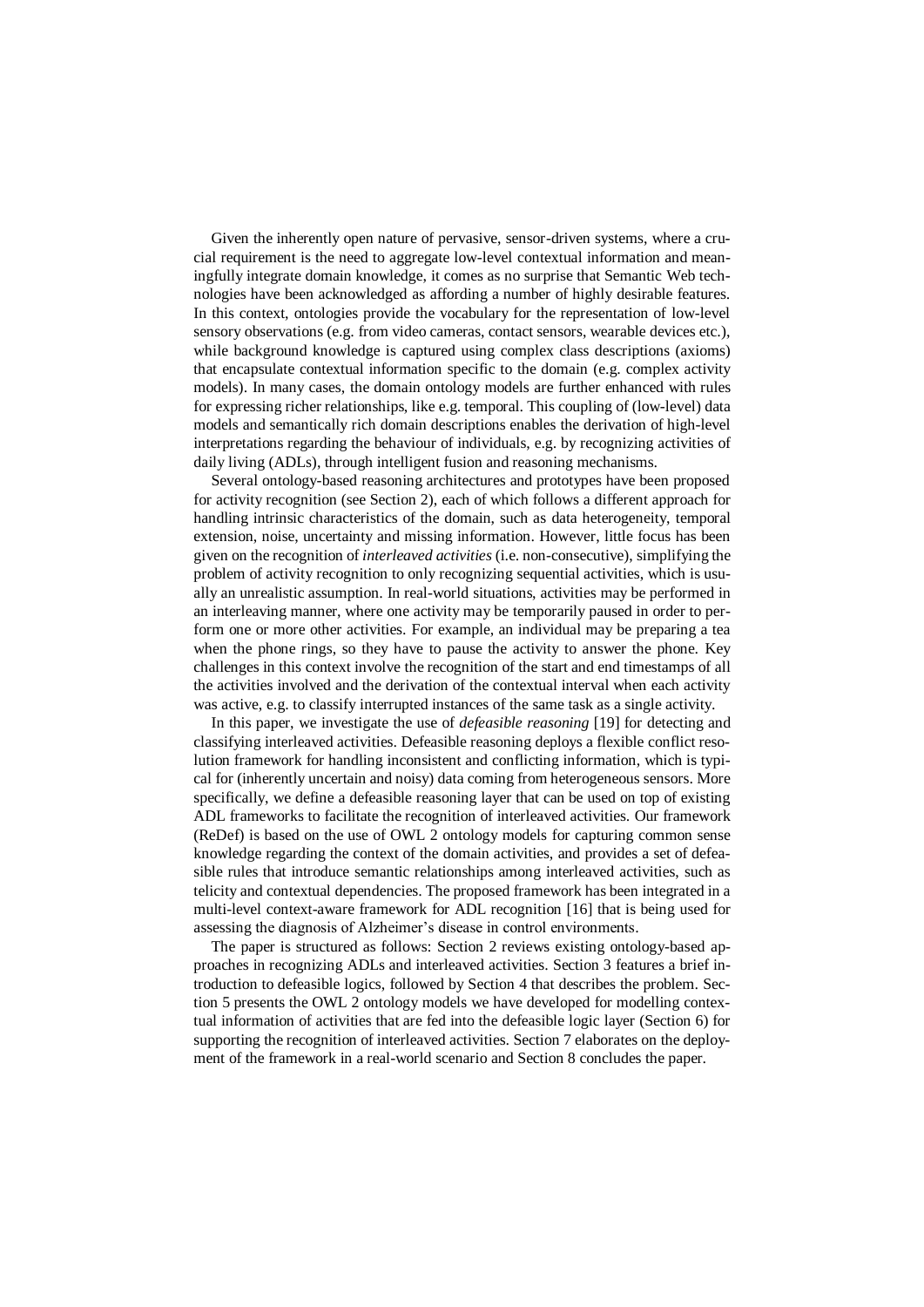Given the inherently open nature of pervasive, sensor-driven systems, where a crucial requirement is the need to aggregate low-level contextual information and meaningfully integrate domain knowledge, it comes as no surprise that Semantic Web technologies have been acknowledged as affording a number of highly desirable features. In this context, ontologies provide the vocabulary for the representation of low-level sensory observations (e.g. from video cameras, contact sensors, wearable devices etc.), while background knowledge is captured using complex class descriptions (axioms) that encapsulate contextual information specific to the domain (e.g. complex activity models). In many cases, the domain ontology models are further enhanced with rules for expressing richer relationships, like e.g. temporal. This coupling of (low-level) data models and semantically rich domain descriptions enables the derivation of high-level interpretations regarding the behaviour of individuals, e.g. by recognizing activities of daily living (ADLs), through intelligent fusion and reasoning mechanisms.

Several ontology-based reasoning architectures and prototypes have been proposed for activity recognition (see Section [2\)](#page-2-0), each of which follows a different approach for handling intrinsic characteristics of the domain, such as data heterogeneity, temporal extension, noise, uncertainty and missing information. However, little focus has been given on the recognition of *interleaved activities* (i.e. non-consecutive), simplifying the problem of activity recognition to only recognizing sequential activities, which is usually an unrealistic assumption. In real-world situations, activities may be performed in an interleaving manner, where one activity may be temporarily paused in order to perform one or more other activities. For example, an individual may be preparing a tea when the phone rings, so they have to pause the activity to answer the phone. Key challenges in this context involve the recognition of the start and end timestamps of all the activities involved and the derivation of the contextual interval when each activity was active, e.g. to classify interrupted instances of the same task as a single activity.

In this paper, we investigate the use of *defeasible reasoning* [\[19\]](#page-11-1) for detecting and classifying interleaved activities. Defeasible reasoning deploys a flexible conflict resolution framework for handling inconsistent and conflicting information, which is typical for (inherently uncertain and noisy) data coming from heterogeneous sensors. More specifically, we define a defeasible reasoning layer that can be used on top of existing ADL frameworks to facilitate the recognition of interleaved activities. Our framework (ReDef) is based on the use of OWL 2 ontology models for capturing common sense knowledge regarding the context of the domain activities, and provides a set of defeasible rules that introduce semantic relationships among interleaved activities, such as telicity and contextual dependencies. The proposed framework has been integrated in a multi-level context-aware framework for ADL recognition [\[16\]](#page-11-2) that is being used for assessing the diagnosis of Alzheimer's disease in control environments.

The paper is structured as follows: Section 2 reviews existing ontology-based approaches in recognizing ADLs and interleaved activities. Section 3 features a brief introduction to defeasible logics, followed by Section 4 that describes the problem. Section 5 presents the OWL 2 ontology models we have developed for modelling contextual information of activities that are fed into the defeasible logic layer (Section 6) for supporting the recognition of interleaved activities. Section 7 elaborates on the deployment of the framework in a real-world scenario and Section 8 concludes the paper.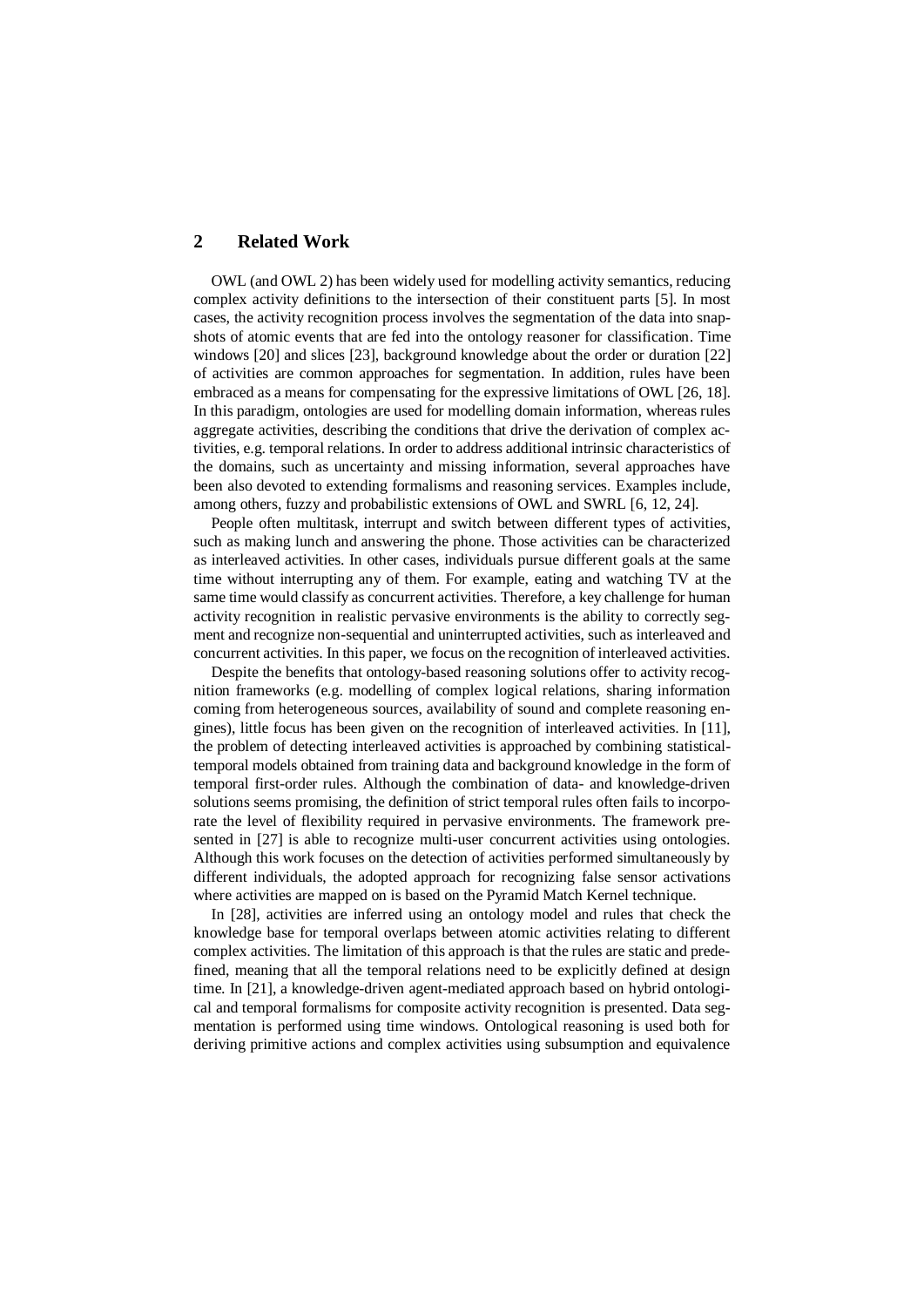# <span id="page-2-0"></span>**2 Related Work**

OWL (and OWL 2) has been widely used for modelling activity semantics, reducing complex activity definitions to the intersection of their constituent parts [\[5\]](#page-10-1). In most cases, the activity recognition process involves the segmentation of the data into snapshots of atomic events that are fed into the ontology reasoner for classification. Time windows [\[20\]](#page-11-3) and slices [\[23\]](#page-11-4), background knowledge about the order or duration [\[22\]](#page-11-5) of activities are common approaches for segmentation. In addition, rules have been embraced as a means for compensating for the expressive limitations of OWL [\[26,](#page-11-6) [18\]](#page-11-7). In this paradigm, ontologies are used for modelling domain information, whereas rules aggregate activities, describing the conditions that drive the derivation of complex activities, e.g. temporal relations. In order to address additional intrinsic characteristics of the domains, such as uncertainty and missing information, several approaches have been also devoted to extending formalisms and reasoning services. Examples include, among others, fuzzy and probabilistic extensions of OWL and SWRL [\[6,](#page-10-2) [12,](#page-10-3) [24\]](#page-11-8).

People often multitask, interrupt and switch between different types of activities, such as making lunch and answering the phone. Those activities can be characterized as interleaved activities. In other cases, individuals pursue different goals at the same time without interrupting any of them. For example, eating and watching TV at the same time would classify as concurrent activities. Therefore, a key challenge for human activity recognition in realistic pervasive environments is the ability to correctly segment and recognize non-sequential and uninterrupted activities, such as interleaved and concurrent activities. In this paper, we focus on the recognition of interleaved activities.

Despite the benefits that ontology-based reasoning solutions offer to activity recognition frameworks (e.g. modelling of complex logical relations, sharing information coming from heterogeneous sources, availability of sound and complete reasoning engines), little focus has been given on the recognition of interleaved activities. In [\[11\]](#page-10-4), the problem of detecting interleaved activities is approached by combining statisticaltemporal models obtained from training data and background knowledge in the form of temporal first-order rules. Although the combination of data- and knowledge-driven solutions seems promising, the definition of strict temporal rules often fails to incorporate the level of flexibility required in pervasive environments. The framework presented in [\[27\]](#page-11-9) is able to recognize multi-user concurrent activities using ontologies. Although this work focuses on the detection of activities performed simultaneously by different individuals, the adopted approach for recognizing false sensor activations where activities are mapped on is based on the Pyramid Match Kernel technique.

In [\[28\]](#page-11-10), activities are inferred using an ontology model and rules that check the knowledge base for temporal overlaps between atomic activities relating to different complex activities. The limitation of this approach is that the rules are static and predefined, meaning that all the temporal relations need to be explicitly defined at design time. In [\[21\]](#page-11-11), a knowledge-driven agent-mediated approach based on hybrid ontological and temporal formalisms for composite activity recognition is presented. Data segmentation is performed using time windows. Ontological reasoning is used both for deriving primitive actions and complex activities using subsumption and equivalence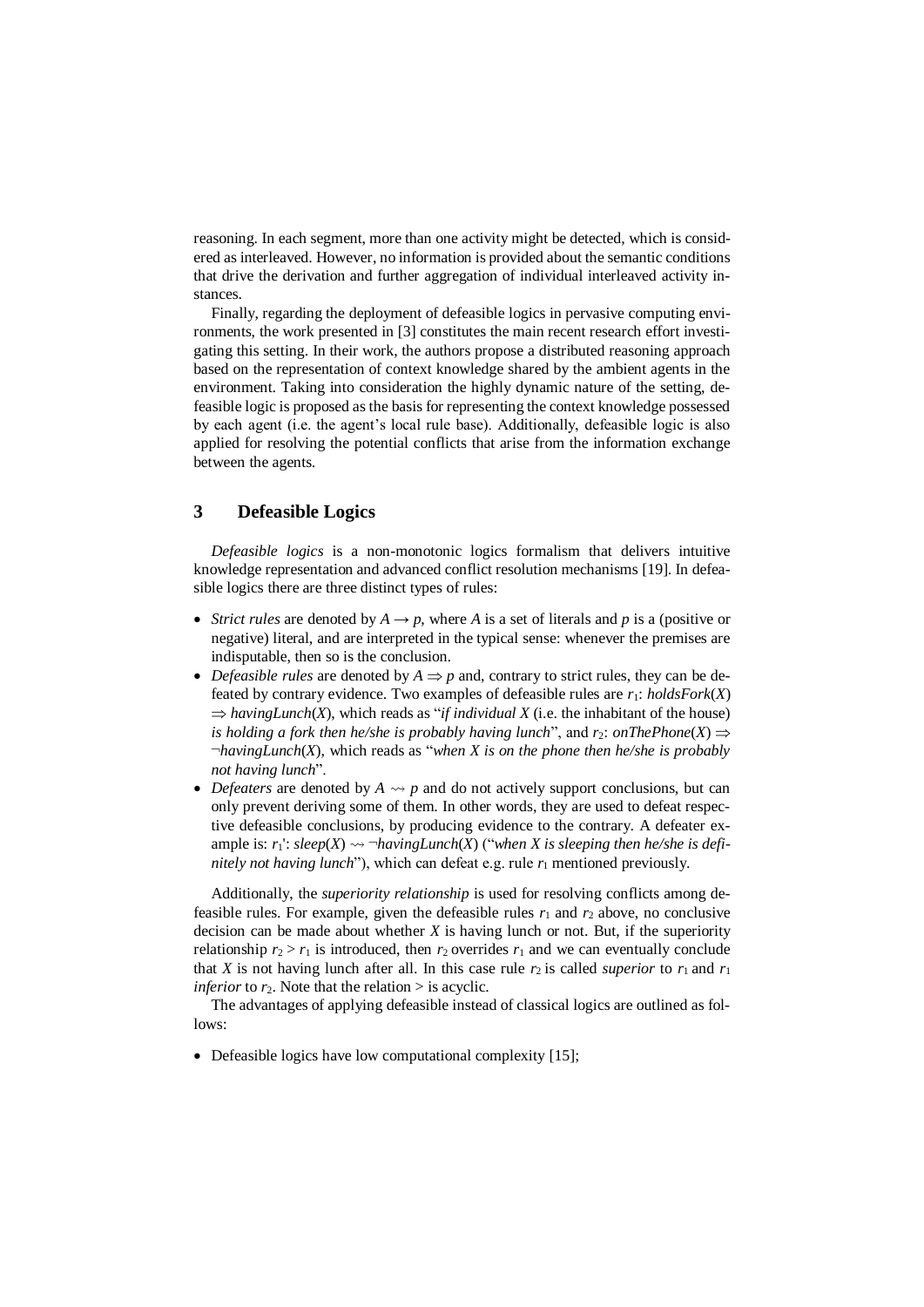reasoning. In each segment, more than one activity might be detected, which is considered as interleaved. However, no information is provided about the semantic conditions that drive the derivation and further aggregation of individual interleaved activity instances.

Finally, regarding the deployment of defeasible logics in pervasive computing environments, the work presented in [\[3\]](#page-10-5) constitutes the main recent research effort investigating this setting. In their work, the authors propose a distributed reasoning approach based on the representation of context knowledge shared by the ambient agents in the environment. Taking into consideration the highly dynamic nature of the setting, defeasible logic is proposed as the basis for representing the context knowledge possessed by each agent (i.e. the agent's local rule base). Additionally, defeasible logic is also applied for resolving the potential conflicts that arise from the information exchange between the agents.

# **3 Defeasible Logics**

*Defeasible logics* is a non-monotonic logics formalism that delivers intuitive knowledge representation and advanced conflict resolution mechanisms [\[19\]](#page-11-1). In defeasible logics there are three distinct types of rules:

- Strict rules are denoted by  $A \rightarrow p$ , where *A* is a set of literals and *p* is a (positive or negative) literal, and are interpreted in the typical sense: whenever the premises are indisputable, then so is the conclusion.
- *Defeasible rules* are denoted by  $A \Rightarrow p$  and, contrary to strict rules, they can be defeated by contrary evidence. Two examples of defeasible rules are  $r_1$ :  $holdsFork(X)$  $\Rightarrow$  *havingLunch*(*X*), which reads as "*if individual X* (i.e. the inhabitant of the house) *is holding a fork then he/she is probably having lunch*", and  $r_2$ : *onThePhone*(*X*)  $\Rightarrow$ ¬*havingLunch*(*X*), which reads as "*when X is on the phone then he/she is probably not having lunch*".
- *Defeaters* are denoted by  $A \rightarrow p$  and do not actively support conclusions, but can only prevent deriving some of them. In other words, they are used to defeat respective defeasible conclusions, by producing evidence to the contrary. A defeater example is:  $r_1$ :  $sleep(X) \rightsquigarrow \neg havingLunch(X)$  ("when X is sleeping then he/she is defi*nitely not having lunch*"), which can defeat e.g. rule  $r_1$  mentioned previously.

Additionally, the *superiority relationship* is used for resolving conflicts among defeasible rules. For example, given the defeasible rules  $r_1$  and  $r_2$  above, no conclusive decision can be made about whether *X* is having lunch or not. But, if the superiority relationship  $r_2 > r_1$  is introduced, then  $r_2$  overrides  $r_1$  and we can eventually conclude that *X* is not having lunch after all. In this case rule  $r_2$  is called *superior* to  $r_1$  and  $r_1$ *inferior* to  $r_2$ . Note that the relation  $>$  is acyclic.

The advantages of applying defeasible instead of classical logics are outlined as follows:

• Defeasible logics have low computational complexity [\[15\]](#page-11-12);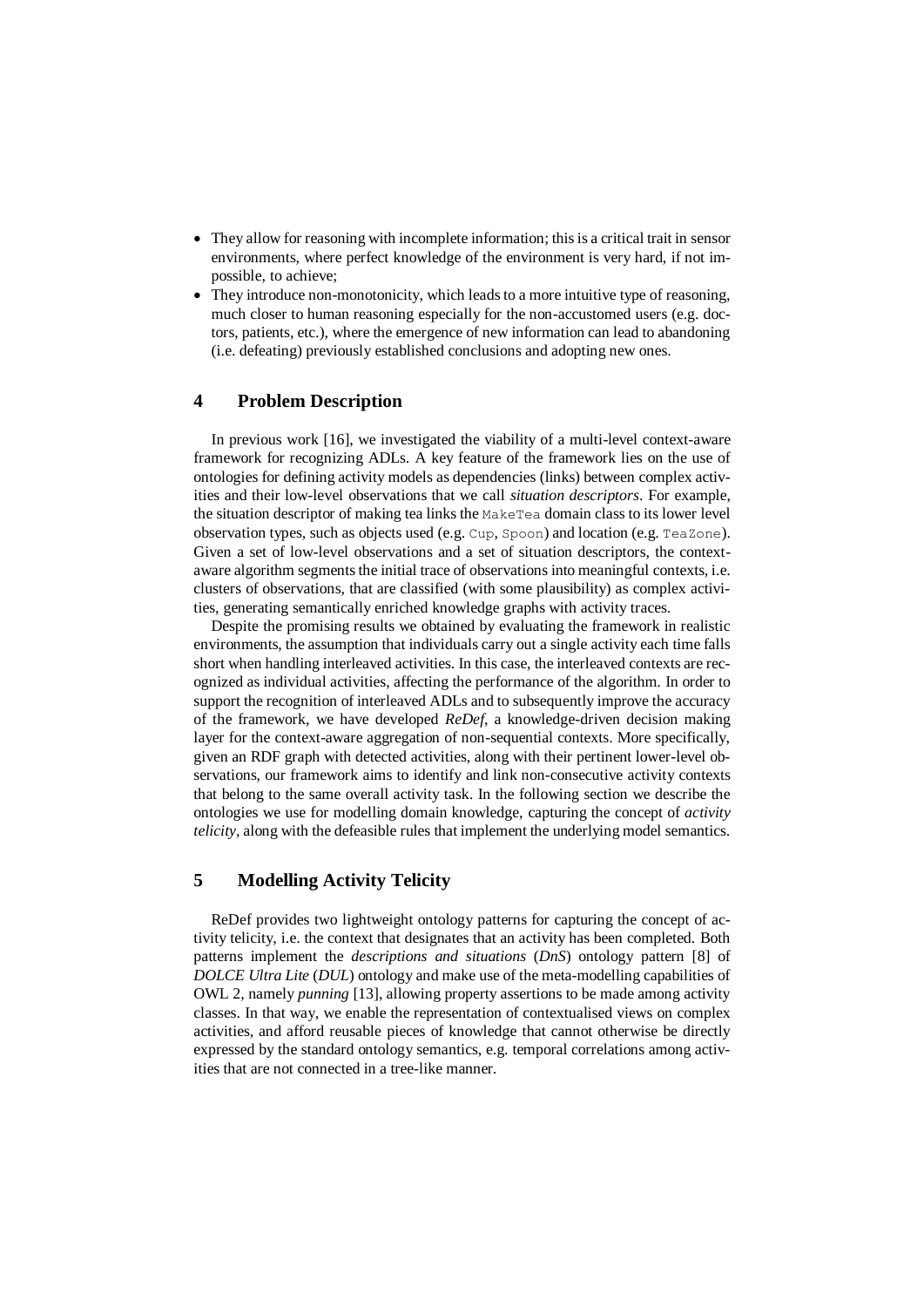- They allow for reasoning with incomplete information; this is a critical trait in sensor environments, where perfect knowledge of the environment is very hard, if not impossible, to achieve;
- They introduce non-monotonicity, which leads to a more intuitive type of reasoning, much closer to human reasoning especially for the non-accustomed users (e.g. doctors, patients, etc.), where the emergence of new information can lead to abandoning (i.e. defeating) previously established conclusions and adopting new ones.

# **4 Problem Description**

In previous work [\[16\]](#page-11-2), we investigated the viability of a multi-level context-aware framework for recognizing ADLs. A key feature of the framework lies on the use of ontologies for defining activity models as dependencies (links) between complex activities and their low-level observations that we call *situation descriptors*. For example, the situation descriptor of making tea links the MakeTea domain class to its lower level observation types, such as objects used (e.g. Cup, Spoon) and location (e.g. TeaZone). Given a set of low-level observations and a set of situation descriptors, the contextaware algorithm segments the initial trace of observations into meaningful contexts, i.e. clusters of observations, that are classified (with some plausibility) as complex activities, generating semantically enriched knowledge graphs with activity traces.

Despite the promising results we obtained by evaluating the framework in realistic environments, the assumption that individuals carry out a single activity each time falls short when handling interleaved activities. In this case, the interleaved contexts are recognized as individual activities, affecting the performance of the algorithm. In order to support the recognition of interleaved ADLs and to subsequently improve the accuracy of the framework, we have developed *ReDef*, a knowledge-driven decision making layer for the context-aware aggregation of non-sequential contexts. More specifically, given an RDF graph with detected activities, along with their pertinent lower-level observations, our framework aims to identify and link non-consecutive activity contexts that belong to the same overall activity task. In the following section we describe the ontologies we use for modelling domain knowledge, capturing the concept of *activity telicity*, along with the defeasible rules that implement the underlying model semantics.

### <span id="page-4-0"></span>**5 Modelling Activity Telicity**

ReDef provides two lightweight ontology patterns for capturing the concept of activity telicity, i.e. the context that designates that an activity has been completed. Both patterns implement the *descriptions and situations* (*DnS*) ontology pattern [\[8\]](#page-10-6) of *DOLCE Ultra Lite* (*DUL*) ontology and make use of the meta-modelling capabilities of OWL 2, namely *punning* [\[13\]](#page-11-13), allowing property assertions to be made among activity classes. In that way, we enable the representation of contextualised views on complex activities, and afford reusable pieces of knowledge that cannot otherwise be directly expressed by the standard ontology semantics, e.g. temporal correlations among activities that are not connected in a tree-like manner.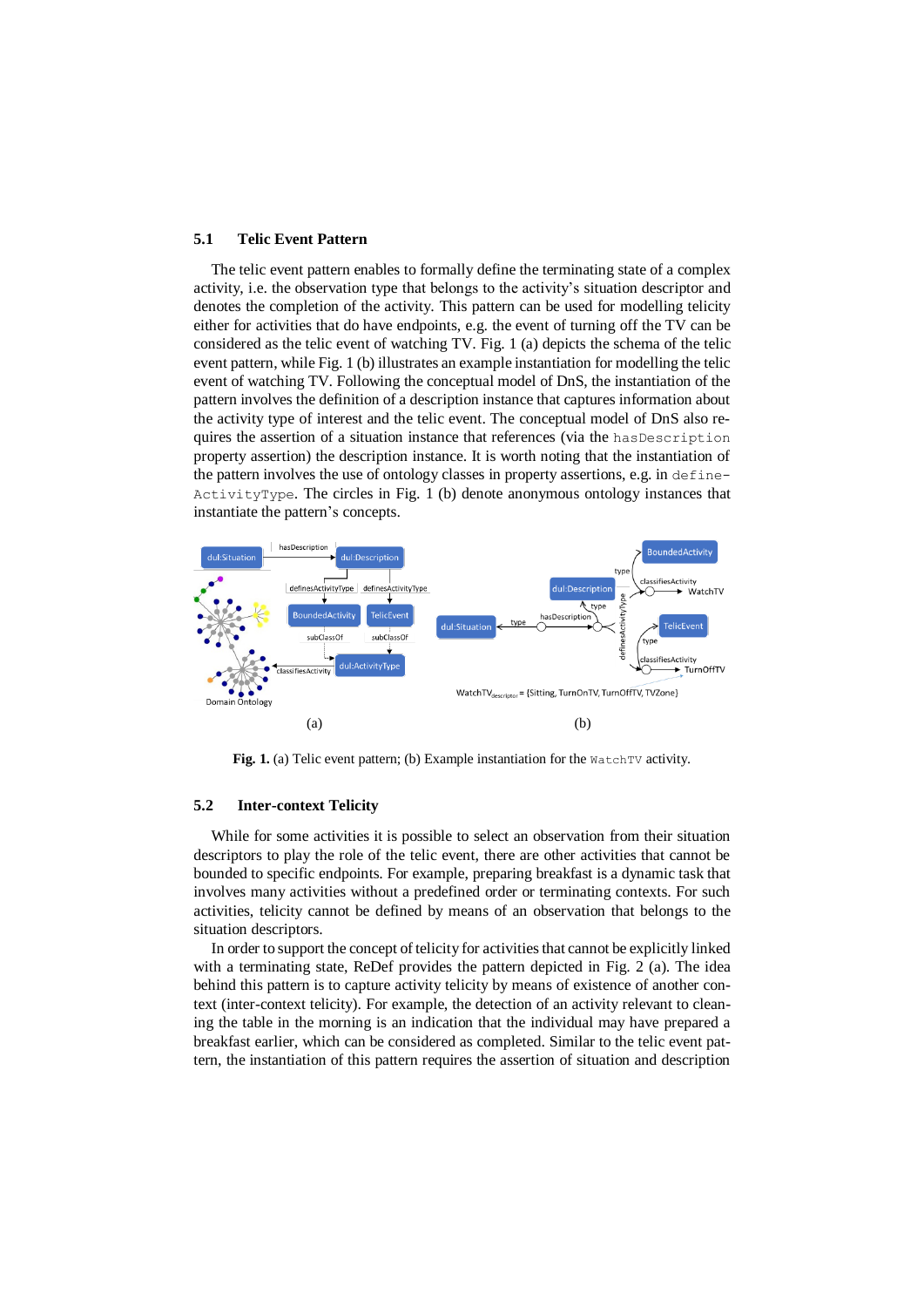#### <span id="page-5-1"></span>**5.1 Telic Event Pattern**

The telic event pattern enables to formally define the terminating state of a complex activity, i.e. the observation type that belongs to the activity's situation descriptor and denotes the completion of the activity. This pattern can be used for modelling telicity either for activities that do have endpoints, e.g. the event of turning off the TV can be considered as the telic event of watching TV. [Fig. 1](#page-5-0) (a) depicts the schema of the telic event pattern, whil[e Fig. 1](#page-5-0) (b) illustrates an example instantiation for modelling the telic event of watching TV. Following the conceptual model of DnS, the instantiation of the pattern involves the definition of a description instance that captures information about the activity type of interest and the telic event. The conceptual model of DnS also requires the assertion of a situation instance that references (via the hasDescription property assertion) the description instance. It is worth noting that the instantiation of the pattern involves the use of ontology classes in property assertions, e.g. in define- $ActivityType$ . The circles in [Fig. 1](#page-5-0) (b) denote anonymous ontology instances that instantiate the pattern's concepts.



<span id="page-5-0"></span>**Fig. 1.** (a) Telic event pattern; (b) Example instantiation for the WatchTV activity.

#### <span id="page-5-2"></span>**5.2 Inter-context Telicity**

While for some activities it is possible to select an observation from their situation descriptors to play the role of the telic event, there are other activities that cannot be bounded to specific endpoints. For example, preparing breakfast is a dynamic task that involves many activities without a predefined order or terminating contexts. For such activities, telicity cannot be defined by means of an observation that belongs to the situation descriptors.

In order to support the concept of telicity for activities that cannot be explicitly linked with a terminating state, ReDef provides the pattern depicted in [Fig. 2](#page-6-0) (a). The idea behind this pattern is to capture activity telicity by means of existence of another context (inter-context telicity). For example, the detection of an activity relevant to cleaning the table in the morning is an indication that the individual may have prepared a breakfast earlier, which can be considered as completed. Similar to the telic event pattern, the instantiation of this pattern requires the assertion of situation and description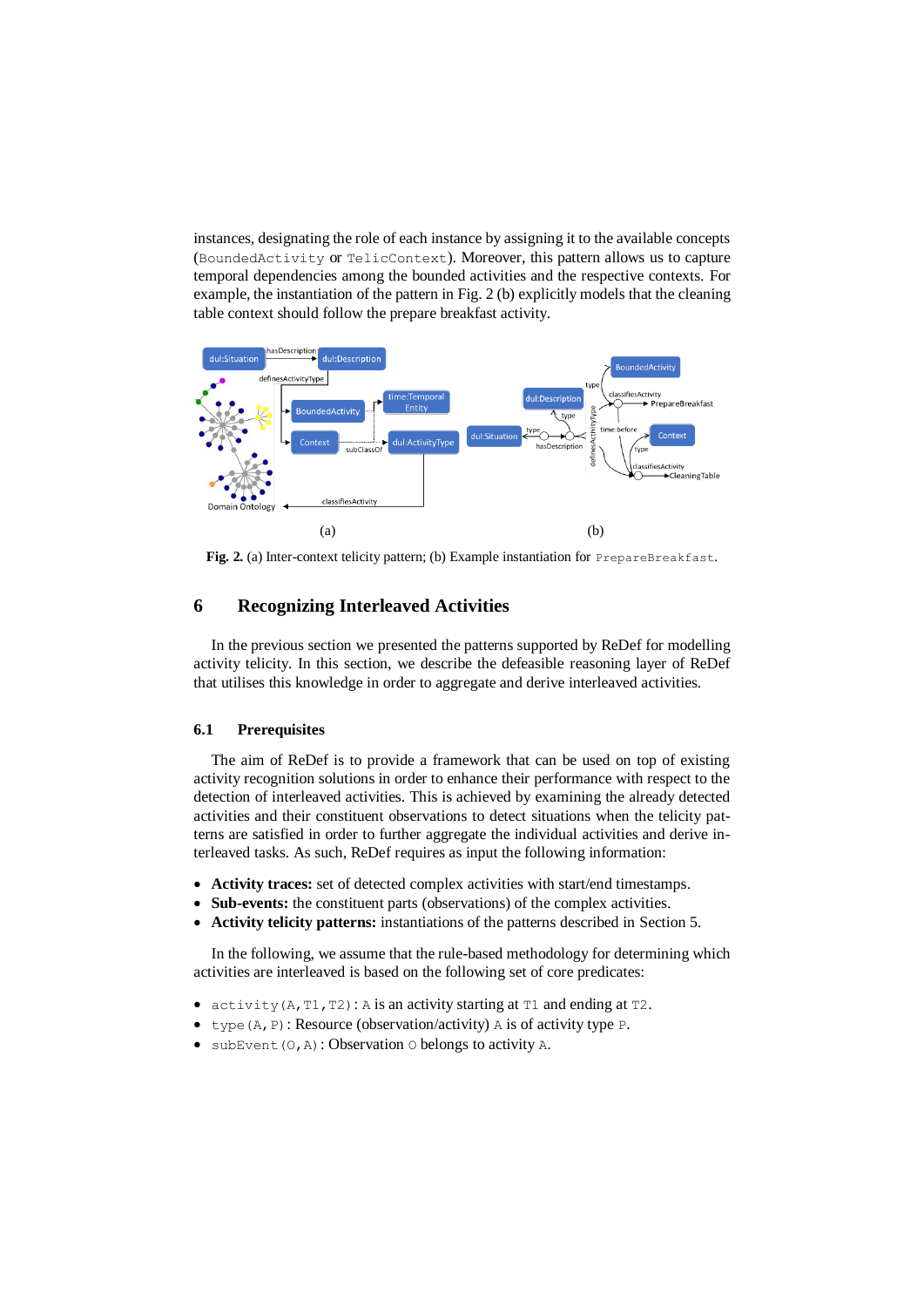instances, designating the role of each instance by assigning it to the available concepts (BoundedActivity or TelicContext). Moreover, this pattern allows us to capture temporal dependencies among the bounded activities and the respective contexts. For example, the instantiation of the pattern i[n Fig. 2](#page-6-0) (b) explicitly models that the cleaning table context should follow the prepare breakfast activity.



<span id="page-6-0"></span>**Fig. 2.** (a) Inter-context telicity pattern; (b) Example instantiation for PrepareBreakfast.

# <span id="page-6-1"></span>**6 Recognizing Interleaved Activities**

In the previous section we presented the patterns supported by ReDef for modelling activity telicity. In this section, we describe the defeasible reasoning layer of ReDef that utilises this knowledge in order to aggregate and derive interleaved activities.

### **6.1 Prerequisites**

The aim of ReDef is to provide a framework that can be used on top of existing activity recognition solutions in order to enhance their performance with respect to the detection of interleaved activities. This is achieved by examining the already detected activities and their constituent observations to detect situations when the telicity patterns are satisfied in order to further aggregate the individual activities and derive interleaved tasks. As such, ReDef requires as input the following information:

- **Activity traces:** set of detected complex activities with start/end timestamps.
- **Sub-events:** the constituent parts (observations) of the complex activities.
- **Activity telicity patterns:** instantiations of the patterns described in Sectio[n 5.](#page-4-0)

In the following, we assume that the rule-based methodology for determining which activities are interleaved is based on the following set of core predicates:

- activity  $(A, T1, T2)$ : A is an activity starting at  $T1$  and ending at  $T2$ .
- type  $(A, P)$ : Resource (observation/activity) A is of activity type P.
- $\bullet$  subEvent (O, A): Observation O belongs to activity A.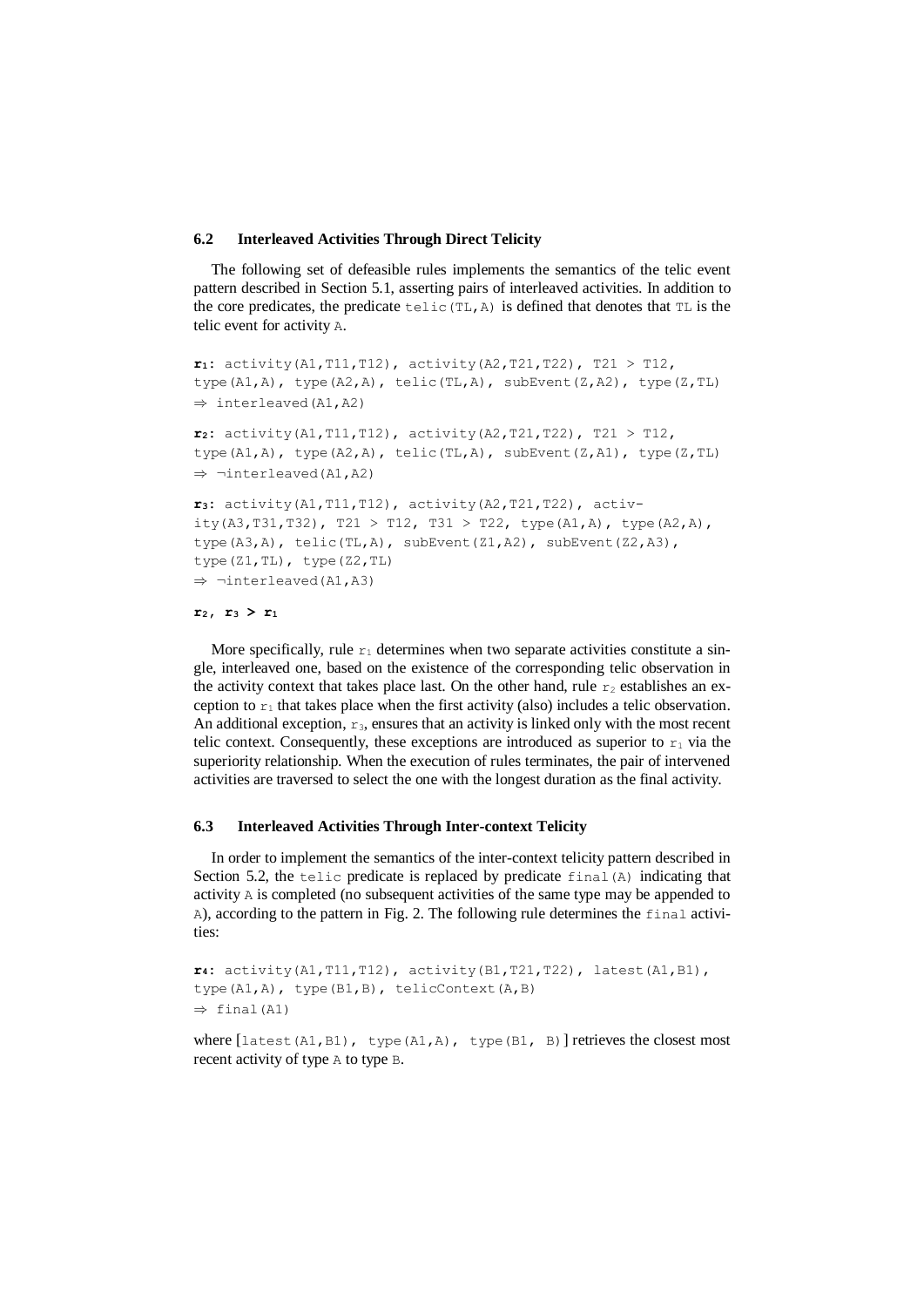#### **6.2 Interleaved Activities Through Direct Telicity**

The following set of defeasible rules implements the semantics of the telic event pattern described in Section [5.1,](#page-5-1) asserting pairs of interleaved activities. In addition to the core predicates, the predicate telic(TL,A) is defined that denotes that TL is the telic event for activity A.

```
r1: activity(A1,T11,T12), activity(A2,T21,T22), T21 > T12, 
type(A1,A), type(A2,A), telic(TL,A), subEvent(Z,A2), type(Z,TL)
\Rightarrow interleaved (A1, A2)
r2: activity(A1,T11,T12), activity(A2,T21,T22), T21 > T12, 
type(A1,A), type(A2,A), telic(TL,A), subEvent(Z,A1), type(Z,TL)
\Rightarrow -interleaved(A1,A2)
r3: activity(A1,T11,T12), activity(A2,T21,T22), activ-
ity(A3,T31,T32), T21 > T12, T31 > T22, type(A1,A), type(A2,A),
type(A3,A), telic(TL,A), subEvent(Z1,A2), subEvent(Z2,A3),
type(Z1,TL), type(Z2,TL)
\Rightarrow -interleaved(A1,A3)
```

```
r2, r3 > r1
```
More specifically, rule  $r_1$  determines when two separate activities constitute a single, interleaved one, based on the existence of the corresponding telic observation in the activity context that takes place last. On the other hand, rule  $r_2$  establishes an exception to  $r_1$  that takes place when the first activity (also) includes a telic observation. An additional exception,  $r_3$ , ensures that an activity is linked only with the most recent telic context. Consequently, these exceptions are introduced as superior to  $r_1$  via the superiority relationship. When the execution of rules terminates, the pair of intervened activities are traversed to select the one with the longest duration as the final activity.

### **6.3 Interleaved Activities Through Inter-context Telicity**

In order to implement the semantics of the inter-context telicity pattern described in Section [5.2,](#page-5-2) the tellic predicate is replaced by predicate  $f$  indicating that activity A is completed (no subsequent activities of the same type may be appended to A), according to the pattern in [Fig. 2.](#page-6-0) The following rule determines the final activities:

**r4:** activity(A1,T11,T12), activity(B1,T21,T22), latest(A1,B1), type(A1,A), type(B1,B), telicContext(A,B)  $\Rightarrow$  final (A1)

where  $[\text{latest}(A1, B1), \text{type}(A1, A), \text{type}(B1, B)]$  retrieves the closest most recent activity of type A to type B.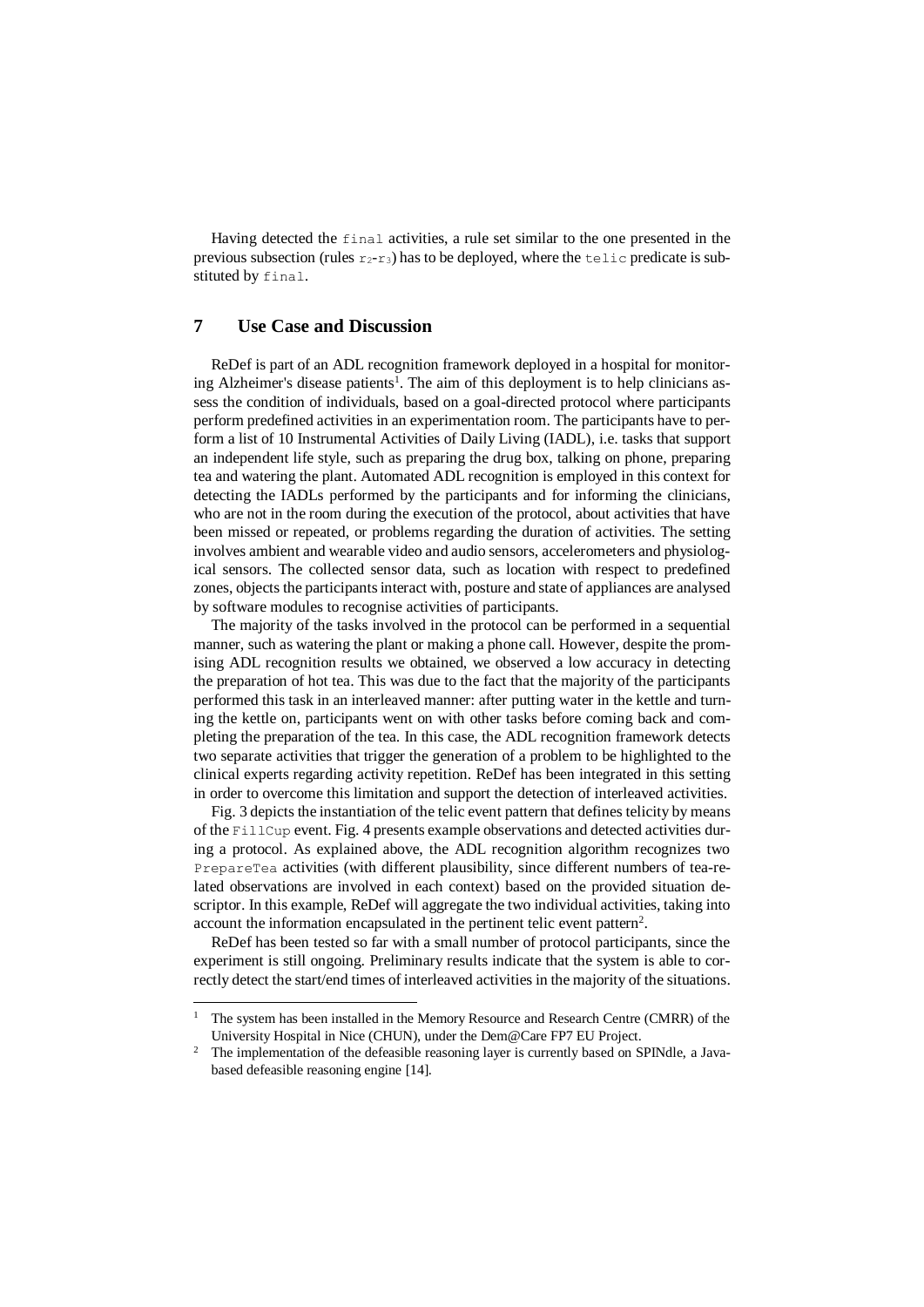Having detected the final activities, a rule set similar to the one presented in the previous subsection (rules  $r_2-r_3$ ) has to be deployed, where the telic predicate is substituted by final.

# **7 Use Case and Discussion**

-

ReDef is part of an ADL recognition framework deployed in a hospital for monitoring Alzheimer's disease patients<sup>1</sup>. The aim of this deployment is to help clinicians assess the condition of individuals, based on a goal-directed protocol where participants perform predefined activities in an experimentation room. The participants have to perform a list of 10 Instrumental Activities of Daily Living (IADL), i.e. tasks that support an independent life style, such as preparing the drug box, talking on phone, preparing tea and watering the plant. Automated ADL recognition is employed in this context for detecting the IADLs performed by the participants and for informing the clinicians, who are not in the room during the execution of the protocol, about activities that have been missed or repeated, or problems regarding the duration of activities. The setting involves ambient and wearable video and audio sensors, accelerometers and physiological sensors. The collected sensor data, such as location with respect to predefined zones, objects the participants interact with, posture and state of appliances are analysed by software modules to recognise activities of participants.

The majority of the tasks involved in the protocol can be performed in a sequential manner, such as watering the plant or making a phone call. However, despite the promising ADL recognition results we obtained, we observed a low accuracy in detecting the preparation of hot tea. This was due to the fact that the majority of the participants performed this task in an interleaved manner: after putting water in the kettle and turning the kettle on, participants went on with other tasks before coming back and completing the preparation of the tea. In this case, the ADL recognition framework detects two separate activities that trigger the generation of a problem to be highlighted to the clinical experts regarding activity repetition. ReDef has been integrated in this setting in order to overcome this limitation and support the detection of interleaved activities.

[Fig. 3](#page-9-0) depicts the instantiation of the telic event pattern that defines telicity by means of the FillCup event. [Fig. 4](#page-9-1) presents example observations and detected activities during a protocol. As explained above, the ADL recognition algorithm recognizes two PrepareTea activities (with different plausibility, since different numbers of tea-related observations are involved in each context) based on the provided situation descriptor. In this example, ReDef will aggregate the two individual activities, taking into account the information encapsulated in the pertinent telic event pattern<sup>2</sup>.

ReDef has been tested so far with a small number of protocol participants, since the experiment is still ongoing. Preliminary results indicate that the system is able to correctly detect the start/end times of interleaved activities in the majority of the situations.

<sup>&</sup>lt;sup>1</sup> The system has been installed in the Memory Resource and Research Centre (CMRR) of the University Hospital in Nice (CHUN), under the Dem@Care FP7 EU Project.

<sup>&</sup>lt;sup>2</sup> The implementation of the defeasible reasoning layer is currently based on SPINdle, a Javabased defeasible reasoning engine [\[14\]](#page-11-14).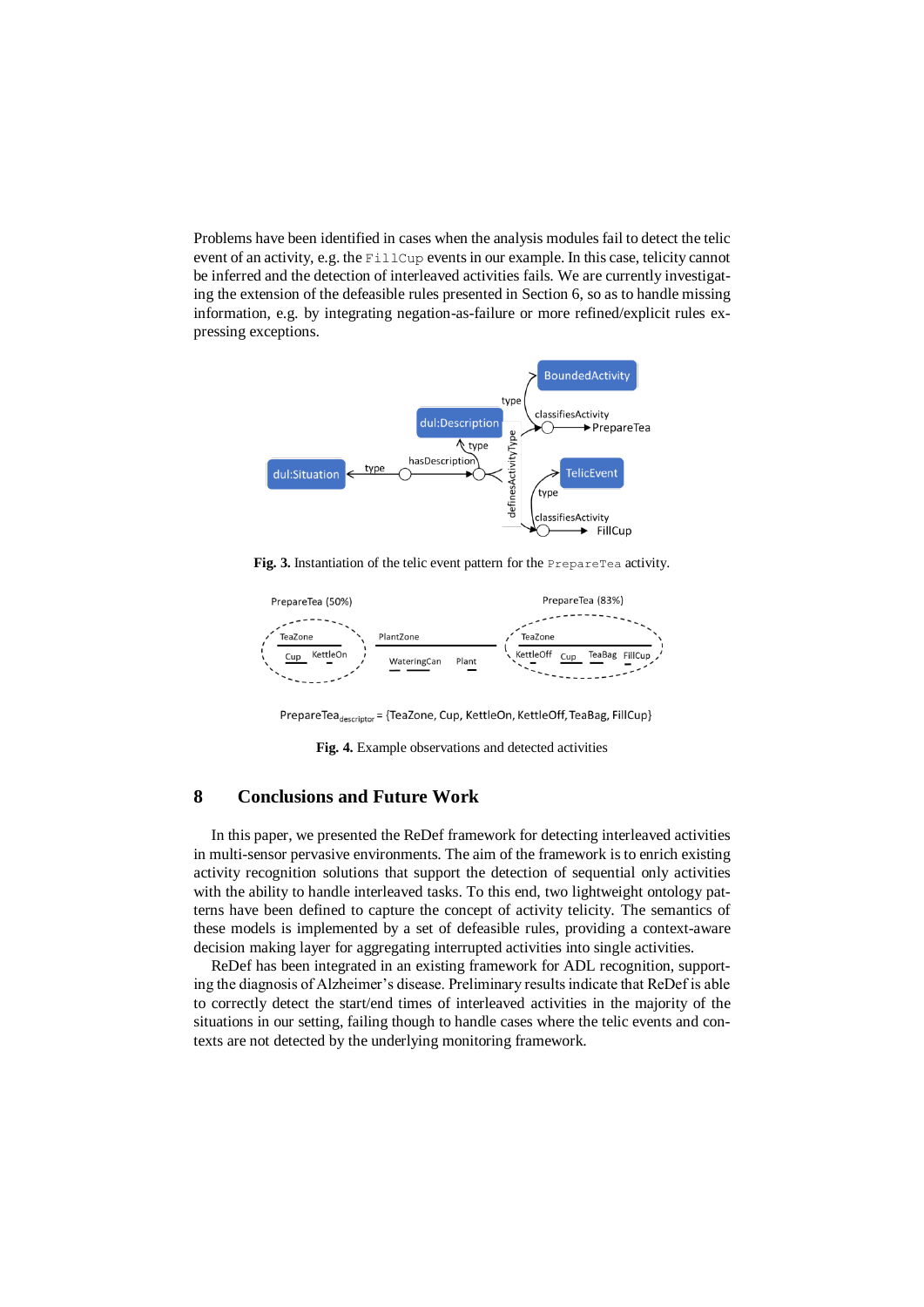Problems have been identified in cases when the analysis modules fail to detect the telic event of an activity, e.g. the FillCup events in our example. In this case, telicity cannot be inferred and the detection of interleaved activities fails. We are currently investigating the extension of the defeasible rules presented in Sectio[n 6,](#page-6-1) so as to handle missing information, e.g. by integrating negation-as-failure or more refined/explicit rules expressing exceptions.



<span id="page-9-0"></span>**Fig. 3.** Instantiation of the telic event pattern for the PrepareTea activity.



PrepareTea<sub>descriptor</sub> = {TeaZone, Cup, KettleOn, KettleOff, TeaBag, FillCup}

**Fig. 4.** Example observations and detected activities

# <span id="page-9-1"></span>**8 Conclusions and Future Work**

In this paper, we presented the ReDef framework for detecting interleaved activities in multi-sensor pervasive environments. The aim of the framework is to enrich existing activity recognition solutions that support the detection of sequential only activities with the ability to handle interleaved tasks. To this end, two lightweight ontology patterns have been defined to capture the concept of activity telicity. The semantics of these models is implemented by a set of defeasible rules, providing a context-aware decision making layer for aggregating interrupted activities into single activities.

ReDef has been integrated in an existing framework for ADL recognition, supporting the diagnosis of Alzheimer's disease. Preliminary results indicate that ReDef is able to correctly detect the start/end times of interleaved activities in the majority of the situations in our setting, failing though to handle cases where the telic events and contexts are not detected by the underlying monitoring framework.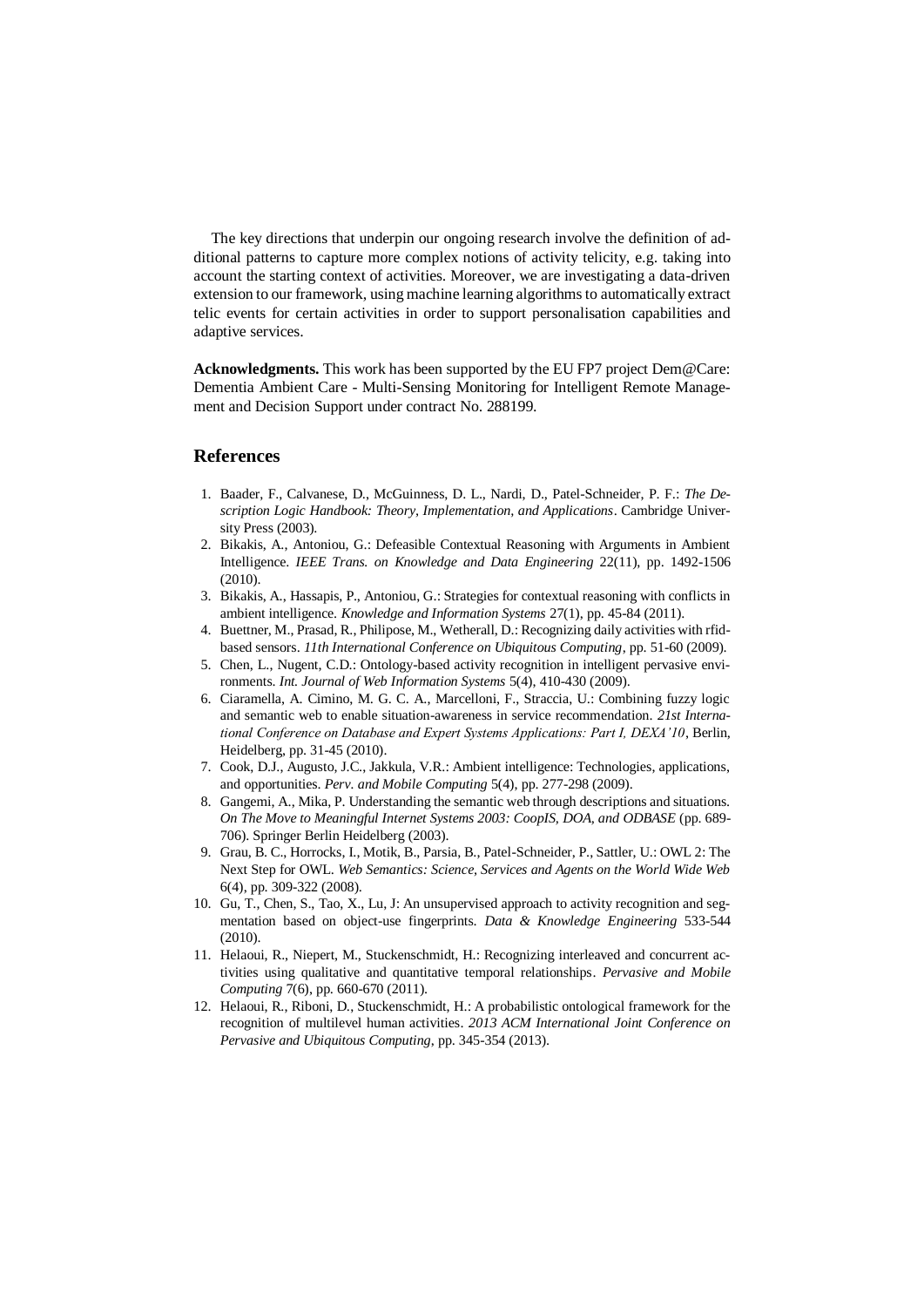The key directions that underpin our ongoing research involve the definition of additional patterns to capture more complex notions of activity telicity, e.g. taking into account the starting context of activities. Moreover, we are investigating a data-driven extension to our framework, using machine learning algorithms to automatically extract telic events for certain activities in order to support personalisation capabilities and adaptive services.

**Acknowledgments.** This work has been supported by the EU FP7 project Dem@Care: Dementia Ambient Care - Multi-Sensing Monitoring for Intelligent Remote Management and Decision Support under contract No. 288199.

### **References**

- <span id="page-10-0"></span>1. Baader, F., Calvanese, D., McGuinness, D. L., Nardi, D., Patel-Schneider, P. F.: *The Description Logic Handbook: Theory, Implementation, and Applications*. Cambridge University Press (2003).
- 2. Bikakis, A., Antoniou, G.: Defeasible Contextual Reasoning with Arguments in Ambient Intelligence. *IEEE Trans. on Knowledge and Data Engineering* 22(11), pp. 1492-1506  $(2010)$
- <span id="page-10-5"></span>3. Bikakis, A., Hassapis, P., Antoniou, G.: Strategies for contextual reasoning with conflicts in ambient intelligence. *Knowledge and Information Systems* 27(1), pp. 45-84 (2011).
- 4. Buettner, M., Prasad, R., Philipose, M., Wetherall, D.: Recognizing daily activities with rfidbased sensors. *11th International Conference on Ubiquitous Computing*, pp. 51-60 (2009).
- <span id="page-10-1"></span>5. Chen, L., Nugent, C.D.: Ontology-based activity recognition in intelligent pervasive environments. *Int. Journal of Web Information Systems* 5(4), 410-430 (2009).
- <span id="page-10-2"></span>6. Ciaramella, A. Cimino, M. G. C. A., Marcelloni, F., Straccia, U.: Combining fuzzy logic and semantic web to enable situation-awareness in service recommendation. *21st International Conference on Database and Expert Systems Applications: Part I, DEXA'10*, Berlin, Heidelberg, pp. 31-45 (2010).
- 7. Cook, D.J., Augusto, J.C., Jakkula, V.R.: Ambient intelligence: Technologies, applications, and opportunities. *Perv. and Mobile Computing* 5(4), pp. 277-298 (2009).
- <span id="page-10-6"></span>8. Gangemi, A., Mika, P. Understanding the semantic web through descriptions and situations. *On The Move to Meaningful Internet Systems 2003: CoopIS, DOA, and ODBASE* (pp. 689- 706). Springer Berlin Heidelberg (2003).
- 9. Grau, B. C., Horrocks, I., Motik, B., Parsia, B., Patel-Schneider, P., Sattler, U.: OWL 2: The Next Step for OWL. *Web Semantics: Science, Services and Agents on the World Wide Web* 6(4), pp. 309-322 (2008).
- 10. Gu, T., Chen, S., Tao, X., Lu, J: An unsupervised approach to activity recognition and segmentation based on object-use fingerprints. *Data & Knowledge Engineering* 533-544 (2010).
- <span id="page-10-4"></span>11. Helaoui, R., Niepert, M., Stuckenschmidt, H.: Recognizing interleaved and concurrent activities using qualitative and quantitative temporal relationships. *Pervasive and Mobile Computing* 7(6), pp. 660-670 (2011).
- <span id="page-10-3"></span>12. Helaoui, R., Riboni, D., Stuckenschmidt, H.: A probabilistic ontological framework for the recognition of multilevel human activities. *2013 ACM International Joint Conference on Pervasive and Ubiquitous Computing*, pp. 345-354 (2013).